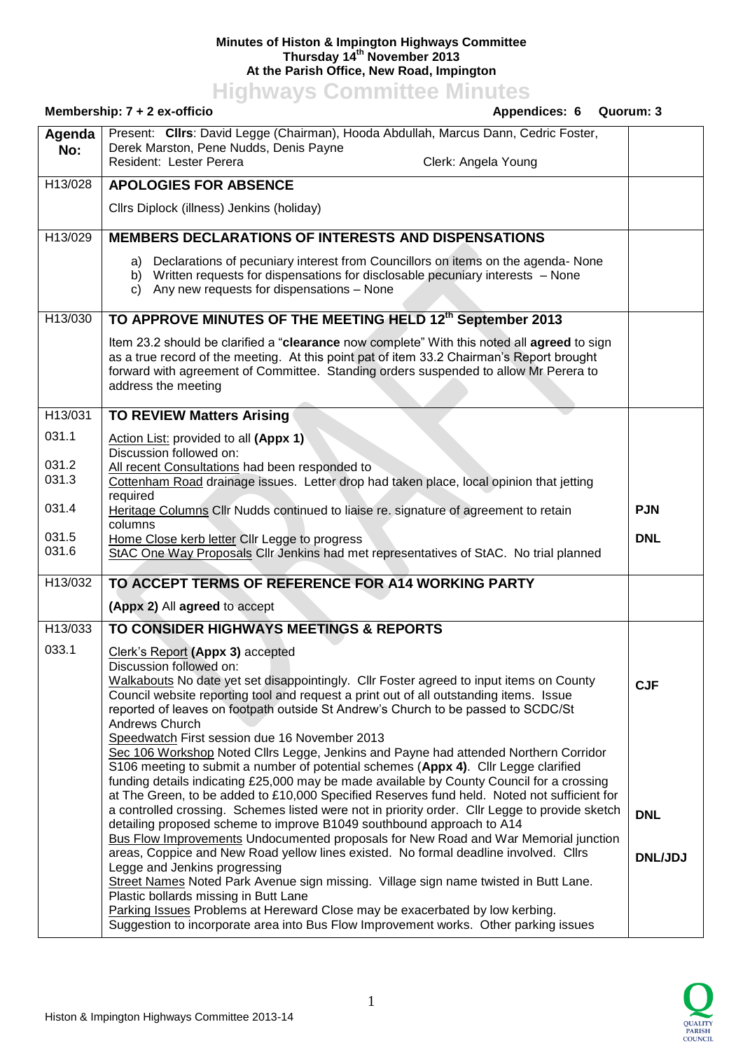## **Minutes of Histon & Impington Highways Committee Thursday 14 th November 2013 At the Parish Office, New Road, Impington**

**Highways Committee Minutes**

|               | Membership: 7 + 2 ex-officio<br>Appendices: 6<br>Quorum: 3                                                                                                                                                                                                                                              |                |
|---------------|---------------------------------------------------------------------------------------------------------------------------------------------------------------------------------------------------------------------------------------------------------------------------------------------------------|----------------|
| Agenda<br>No: | Present: Clirs: David Legge (Chairman), Hooda Abdullah, Marcus Dann, Cedric Foster,<br>Derek Marston, Pene Nudds, Denis Payne<br>Resident: Lester Perera<br>Clerk: Angela Young                                                                                                                         |                |
| H13/028       | <b>APOLOGIES FOR ABSENCE</b>                                                                                                                                                                                                                                                                            |                |
|               | Cllrs Diplock (illness) Jenkins (holiday)                                                                                                                                                                                                                                                               |                |
| H13/029       | <b>MEMBERS DECLARATIONS OF INTERESTS AND DISPENSATIONS</b>                                                                                                                                                                                                                                              |                |
|               | Declarations of pecuniary interest from Councillors on items on the agenda- None<br>a)<br>b) Written requests for dispensations for disclosable pecuniary interests - None<br>c) Any new requests for dispensations - None                                                                              |                |
| H13/030       | TO APPROVE MINUTES OF THE MEETING HELD 12th September 2013                                                                                                                                                                                                                                              |                |
|               | Item 23.2 should be clarified a "clearance now complete" With this noted all agreed to sign<br>as a true record of the meeting. At this point pat of item 33.2 Chairman's Report brought<br>forward with agreement of Committee. Standing orders suspended to allow Mr Perera to<br>address the meeting |                |
| H13/031       | <b>TO REVIEW Matters Arising</b>                                                                                                                                                                                                                                                                        |                |
| 031.1         | Action List: provided to all (Appx 1)                                                                                                                                                                                                                                                                   |                |
| 031.2         | Discussion followed on:<br>All recent Consultations had been responded to                                                                                                                                                                                                                               |                |
| 031.3         | Cottenham Road drainage issues. Letter drop had taken place, local opinion that jetting                                                                                                                                                                                                                 |                |
| 031.4         | required<br>Heritage Columns Cllr Nudds continued to liaise re. signature of agreement to retain                                                                                                                                                                                                        | <b>PJN</b>     |
| 031.5         | columns<br>Home Close kerb letter Cllr Legge to progress                                                                                                                                                                                                                                                | <b>DNL</b>     |
| 031.6         | StAC One Way Proposals Cllr Jenkins had met representatives of StAC. No trial planned                                                                                                                                                                                                                   |                |
| H13/032       | TO ACCEPT TERMS OF REFERENCE FOR A14 WORKING PARTY                                                                                                                                                                                                                                                      |                |
|               | (Appx 2) All agreed to accept                                                                                                                                                                                                                                                                           |                |
| H13/033       | TO CONSIDER HIGHWAYS MEETINGS & REPORTS                                                                                                                                                                                                                                                                 |                |
| 033.1         | Clerk's Report (Appx 3) accepted                                                                                                                                                                                                                                                                        |                |
|               | Discussion followed on:                                                                                                                                                                                                                                                                                 |                |
|               | Walkabouts No date yet set disappointingly. Cllr Foster agreed to input items on County                                                                                                                                                                                                                 | <b>CJF</b>     |
|               | Council website reporting tool and request a print out of all outstanding items. Issue<br>reported of leaves on footpath outside St Andrew's Church to be passed to SCDC/St                                                                                                                             |                |
|               | Andrews Church                                                                                                                                                                                                                                                                                          |                |
|               | Speedwatch First session due 16 November 2013<br>Sec 106 Workshop Noted Cllrs Legge, Jenkins and Payne had attended Northern Corridor                                                                                                                                                                   |                |
|               | S106 meeting to submit a number of potential schemes (Appx 4). Cllr Legge clarified                                                                                                                                                                                                                     |                |
|               | funding details indicating £25,000 may be made available by County Council for a crossing<br>at The Green, to be added to £10,000 Specified Reserves fund held. Noted not sufficient for                                                                                                                |                |
|               | a controlled crossing. Schemes listed were not in priority order. Cllr Legge to provide sketch                                                                                                                                                                                                          | <b>DNL</b>     |
|               | detailing proposed scheme to improve B1049 southbound approach to A14<br><b>Bus Flow Improvements Undocumented proposals for New Road and War Memorial junction</b>                                                                                                                                     |                |
|               | areas, Coppice and New Road yellow lines existed. No formal deadline involved. Cllrs                                                                                                                                                                                                                    | <b>DNL/JDJ</b> |
|               | Legge and Jenkins progressing<br>Street Names Noted Park Avenue sign missing. Village sign name twisted in Butt Lane.                                                                                                                                                                                   |                |
|               | Plastic bollards missing in Butt Lane                                                                                                                                                                                                                                                                   |                |
|               | Parking Issues Problems at Hereward Close may be exacerbated by low kerbing.                                                                                                                                                                                                                            |                |
|               | Suggestion to incorporate area into Bus Flow Improvement works. Other parking issues                                                                                                                                                                                                                    |                |

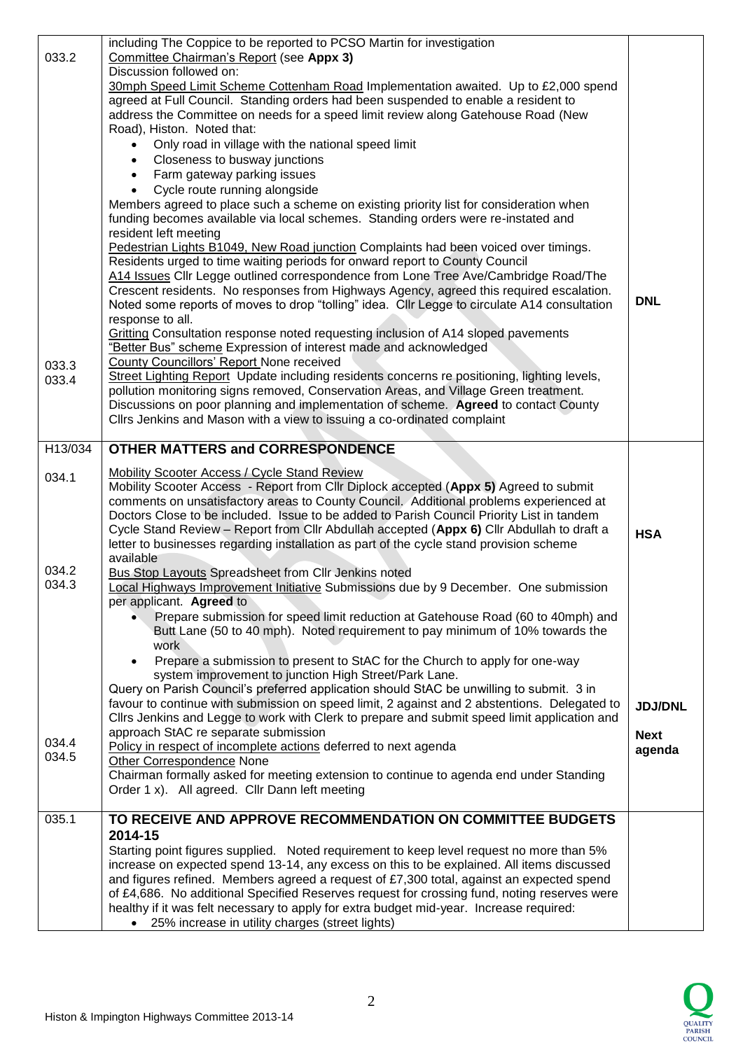| 033.2          | including The Coppice to be reported to PCSO Martin for investigation<br>Committee Chairman's Report (see Appx 3)<br>Discussion followed on:<br>30mph Speed Limit Scheme Cottenham Road Implementation awaited. Up to £2,000 spend<br>agreed at Full Council. Standing orders had been suspended to enable a resident to<br>address the Committee on needs for a speed limit review along Gatehouse Road (New<br>Road), Histon. Noted that:<br>Only road in village with the national speed limit                                                                                                                                                                                                                                                                                                                                                                                                                                                                                                                                                                                                                                                                                                                                                                                                                                               |                       |
|----------------|-------------------------------------------------------------------------------------------------------------------------------------------------------------------------------------------------------------------------------------------------------------------------------------------------------------------------------------------------------------------------------------------------------------------------------------------------------------------------------------------------------------------------------------------------------------------------------------------------------------------------------------------------------------------------------------------------------------------------------------------------------------------------------------------------------------------------------------------------------------------------------------------------------------------------------------------------------------------------------------------------------------------------------------------------------------------------------------------------------------------------------------------------------------------------------------------------------------------------------------------------------------------------------------------------------------------------------------------------|-----------------------|
| 033.3<br>033.4 | Closeness to busway junctions<br>Farm gateway parking issues<br>Cycle route running alongside<br>Members agreed to place such a scheme on existing priority list for consideration when<br>funding becomes available via local schemes. Standing orders were re-instated and<br>resident left meeting<br>Pedestrian Lights B1049, New Road junction Complaints had been voiced over timings.<br>Residents urged to time waiting periods for onward report to County Council<br>A14 Issues Cllr Legge outlined correspondence from Lone Tree Ave/Cambridge Road/The<br>Crescent residents. No responses from Highways Agency, agreed this required escalation.<br>Noted some reports of moves to drop "tolling" idea. Cllr Legge to circulate A14 consultation<br>response to all.<br>Gritting Consultation response noted requesting inclusion of A14 sloped pavements<br>"Better Bus" scheme Expression of interest made and acknowledged<br>County Councillors' Report None received<br>Street Lighting Report Update including residents concerns re positioning, lighting levels,<br>pollution monitoring signs removed, Conservation Areas, and Village Green treatment.<br>Discussions on poor planning and implementation of scheme. Agreed to contact County<br>Cllrs Jenkins and Mason with a view to issuing a co-ordinated complaint | <b>DNL</b>            |
| H13/034        | <b>OTHER MATTERS and CORRESPONDENCE</b>                                                                                                                                                                                                                                                                                                                                                                                                                                                                                                                                                                                                                                                                                                                                                                                                                                                                                                                                                                                                                                                                                                                                                                                                                                                                                                         |                       |
| 034.1          | <b>Mobility Scooter Access / Cycle Stand Review</b><br>Mobility Scooter Access - Report from Cllr Diplock accepted (Appx 5) Agreed to submit<br>comments on unsatisfactory areas to County Council. Additional problems experienced at<br>Doctors Close to be included. Issue to be added to Parish Council Priority List in tandem<br>Cycle Stand Review - Report from Cllr Abdullah accepted (Appx 6) Cllr Abdullah to draft a<br>letter to businesses regarding installation as part of the cycle stand provision scheme<br>available                                                                                                                                                                                                                                                                                                                                                                                                                                                                                                                                                                                                                                                                                                                                                                                                        | <b>HSA</b>            |
| 034.2<br>034.3 | <b>Bus Stop Layouts Spreadsheet from Clir Jenkins noted</b><br>Local Highways Improvement Initiative Submissions due by 9 December. One submission<br>per applicant. Agreed to<br>Prepare submission for speed limit reduction at Gatehouse Road (60 to 40mph) and<br>Butt Lane (50 to 40 mph). Noted requirement to pay minimum of 10% towards the<br>work                                                                                                                                                                                                                                                                                                                                                                                                                                                                                                                                                                                                                                                                                                                                                                                                                                                                                                                                                                                     |                       |
|                | Prepare a submission to present to StAC for the Church to apply for one-way<br>system improvement to junction High Street/Park Lane.<br>Query on Parish Council's preferred application should StAC be unwilling to submit. 3 in<br>favour to continue with submission on speed limit, 2 against and 2 abstentions. Delegated to<br>Cllrs Jenkins and Legge to work with Clerk to prepare and submit speed limit application and                                                                                                                                                                                                                                                                                                                                                                                                                                                                                                                                                                                                                                                                                                                                                                                                                                                                                                                | <b>JDJ/DNL</b>        |
| 034.4<br>034.5 | approach StAC re separate submission<br>Policy in respect of incomplete actions deferred to next agenda<br>Other Correspondence None<br>Chairman formally asked for meeting extension to continue to agenda end under Standing<br>Order 1 x). All agreed. Cllr Dann left meeting                                                                                                                                                                                                                                                                                                                                                                                                                                                                                                                                                                                                                                                                                                                                                                                                                                                                                                                                                                                                                                                                | <b>Next</b><br>agenda |
| 035.1          | TO RECEIVE AND APPROVE RECOMMENDATION ON COMMITTEE BUDGETS<br>2014-15<br>Starting point figures supplied. Noted requirement to keep level request no more than 5%<br>increase on expected spend 13-14, any excess on this to be explained. All items discussed<br>and figures refined. Members agreed a request of £7,300 total, against an expected spend<br>of £4,686. No additional Specified Reserves request for crossing fund, noting reserves were<br>healthy if it was felt necessary to apply for extra budget mid-year. Increase required:<br>25% increase in utility charges (street lights)<br>$\bullet$                                                                                                                                                                                                                                                                                                                                                                                                                                                                                                                                                                                                                                                                                                                            |                       |